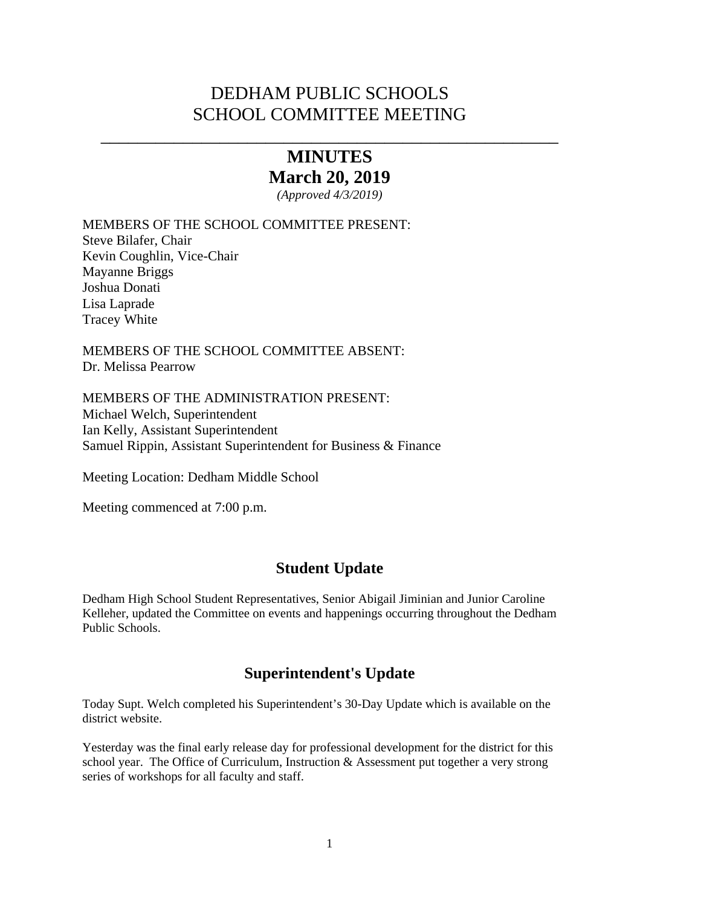## DEDHAM PUBLIC SCHOOLS SCHOOL COMMITTEE MEETING

# **MINUTES March 20, 2019**

\_\_\_\_\_\_\_\_\_\_\_\_\_\_\_\_\_\_\_\_\_\_\_\_\_\_\_\_\_\_\_\_\_\_\_\_\_\_\_\_\_\_\_\_\_\_\_\_\_\_

*(Approved 4/3/2019)* 

MEMBERS OF THE SCHOOL COMMITTEE PRESENT:

Steve Bilafer, Chair Kevin Coughlin, Vice-Chair Mayanne Briggs Joshua Donati Lisa Laprade Tracey White

MEMBERS OF THE SCHOOL COMMITTEE ABSENT: Dr. Melissa Pearrow

MEMBERS OF THE ADMINISTRATION PRESENT: Michael Welch, Superintendent Ian Kelly, Assistant Superintendent Samuel Rippin, Assistant Superintendent for Business & Finance

Meeting Location: Dedham Middle School

Meeting commenced at 7:00 p.m.

## **Student Update**

Dedham High School Student Representatives, Senior Abigail Jiminian and Junior Caroline Kelleher, updated the Committee on events and happenings occurring throughout the Dedham Public Schools.

## **Superintendent's Update**

Today Supt. Welch completed his Superintendent's 30-Day Update which is available on the district website.

Yesterday was the final early release day for professional development for the district for this school year. The Office of Curriculum, Instruction  $\&$  Assessment put together a very strong series of workshops for all faculty and staff.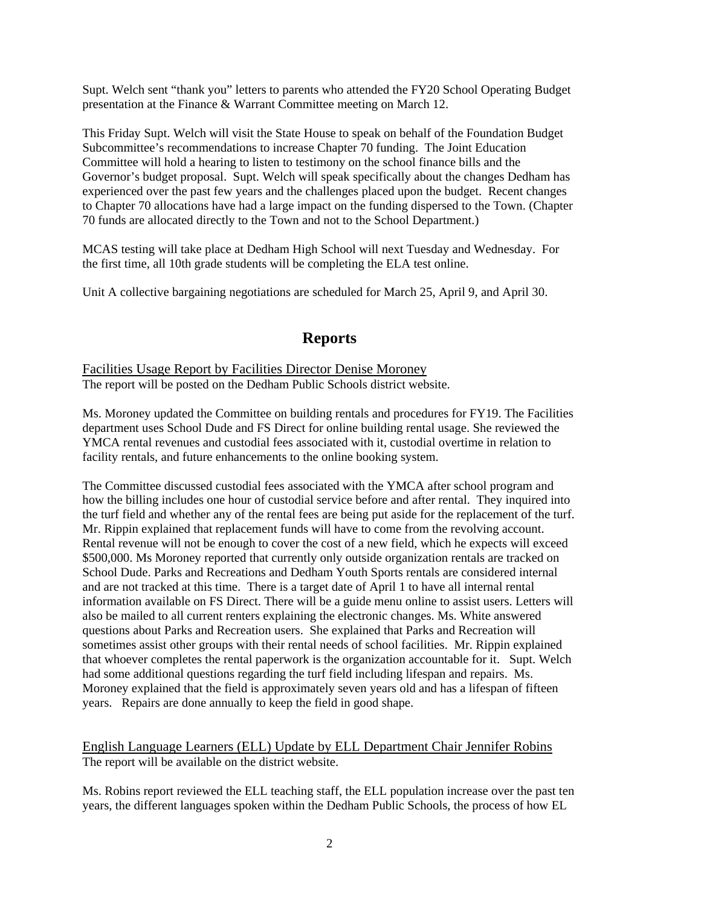Supt. Welch sent "thank you" letters to parents who attended the FY20 School Operating Budget presentation at the Finance & Warrant Committee meeting on March 12.

This Friday Supt. Welch will visit the State House to speak on behalf of the Foundation Budget Subcommittee's recommendations to increase Chapter 70 funding. The Joint Education Committee will hold a hearing to listen to testimony on the school finance bills and the Governor's budget proposal. Supt. Welch will speak specifically about the changes Dedham has experienced over the past few years and the challenges placed upon the budget. Recent changes to Chapter 70 allocations have had a large impact on the funding dispersed to the Town. (Chapter 70 funds are allocated directly to the Town and not to the School Department.)

MCAS testing will take place at Dedham High School will next Tuesday and Wednesday. For the first time, all 10th grade students will be completing the ELA test online.

Unit A collective bargaining negotiations are scheduled for March 25, April 9, and April 30.

## **Reports**

Facilities Usage Report by Facilities Director Denise Moroney The report will be posted on the Dedham Public Schools district website.

Ms. Moroney updated the Committee on building rentals and procedures for FY19. The Facilities department uses School Dude and FS Direct for online building rental usage. She reviewed the YMCA rental revenues and custodial fees associated with it, custodial overtime in relation to facility rentals, and future enhancements to the online booking system.

The Committee discussed custodial fees associated with the YMCA after school program and how the billing includes one hour of custodial service before and after rental. They inquired into the turf field and whether any of the rental fees are being put aside for the replacement of the turf. Mr. Rippin explained that replacement funds will have to come from the revolving account. Rental revenue will not be enough to cover the cost of a new field, which he expects will exceed \$500,000. Ms Moroney reported that currently only outside organization rentals are tracked on School Dude. Parks and Recreations and Dedham Youth Sports rentals are considered internal and are not tracked at this time. There is a target date of April 1 to have all internal rental information available on FS Direct. There will be a guide menu online to assist users. Letters will also be mailed to all current renters explaining the electronic changes. Ms. White answered questions about Parks and Recreation users. She explained that Parks and Recreation will sometimes assist other groups with their rental needs of school facilities. Mr. Rippin explained that whoever completes the rental paperwork is the organization accountable for it. Supt. Welch had some additional questions regarding the turf field including lifespan and repairs. Ms. Moroney explained that the field is approximately seven years old and has a lifespan of fifteen years. Repairs are done annually to keep the field in good shape.

English Language Learners (ELL) Update by ELL Department Chair Jennifer Robins The report will be available on the district website.

Ms. Robins report reviewed the ELL teaching staff, the ELL population increase over the past ten years, the different languages spoken within the Dedham Public Schools, the process of how EL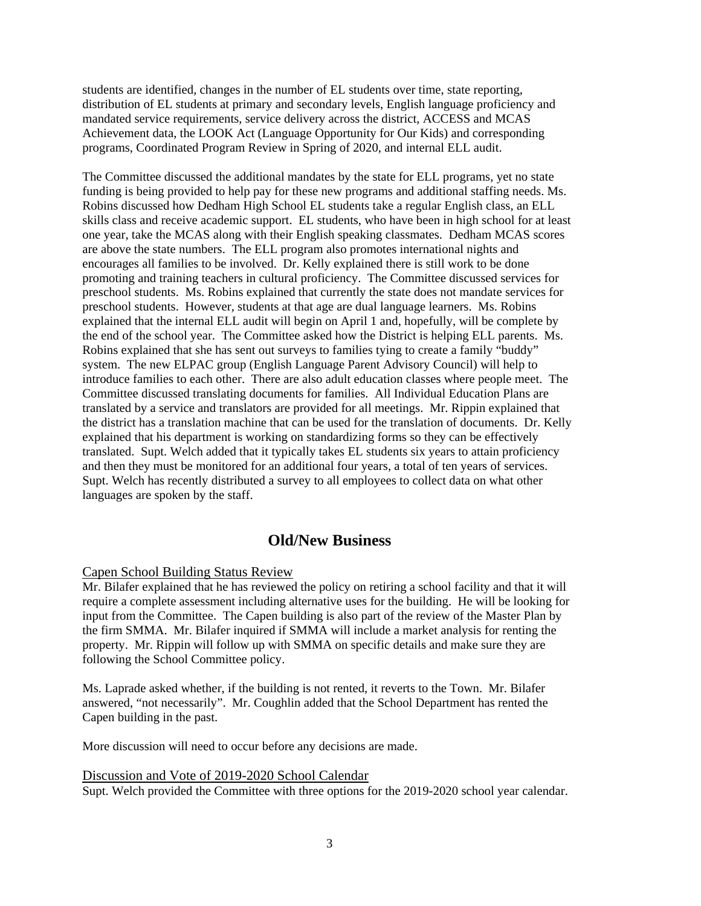students are identified, changes in the number of EL students over time, state reporting, distribution of EL students at primary and secondary levels, English language proficiency and mandated service requirements, service delivery across the district, ACCESS and MCAS Achievement data, the LOOK Act (Language Opportunity for Our Kids) and corresponding programs, Coordinated Program Review in Spring of 2020, and internal ELL audit.

The Committee discussed the additional mandates by the state for ELL programs, yet no state funding is being provided to help pay for these new programs and additional staffing needs. Ms. Robins discussed how Dedham High School EL students take a regular English class, an ELL skills class and receive academic support. EL students, who have been in high school for at least one year, take the MCAS along with their English speaking classmates. Dedham MCAS scores are above the state numbers. The ELL program also promotes international nights and encourages all families to be involved. Dr. Kelly explained there is still work to be done promoting and training teachers in cultural proficiency. The Committee discussed services for preschool students. Ms. Robins explained that currently the state does not mandate services for preschool students. However, students at that age are dual language learners. Ms. Robins explained that the internal ELL audit will begin on April 1 and, hopefully, will be complete by the end of the school year. The Committee asked how the District is helping ELL parents. Ms. Robins explained that she has sent out surveys to families tying to create a family "buddy" system. The new ELPAC group (English Language Parent Advisory Council) will help to introduce families to each other. There are also adult education classes where people meet. The Committee discussed translating documents for families. All Individual Education Plans are translated by a service and translators are provided for all meetings. Mr. Rippin explained that the district has a translation machine that can be used for the translation of documents. Dr. Kelly explained that his department is working on standardizing forms so they can be effectively translated. Supt. Welch added that it typically takes EL students six years to attain proficiency and then they must be monitored for an additional four years, a total of ten years of services. Supt. Welch has recently distributed a survey to all employees to collect data on what other languages are spoken by the staff.

## **Old/New Business**

#### Capen School Building Status Review

Mr. Bilafer explained that he has reviewed the policy on retiring a school facility and that it will require a complete assessment including alternative uses for the building. He will be looking for input from the Committee. The Capen building is also part of the review of the Master Plan by the firm SMMA. Mr. Bilafer inquired if SMMA will include a market analysis for renting the property. Mr. Rippin will follow up with SMMA on specific details and make sure they are following the School Committee policy.

Ms. Laprade asked whether, if the building is not rented, it reverts to the Town. Mr. Bilafer answered, "not necessarily". Mr. Coughlin added that the School Department has rented the Capen building in the past.

More discussion will need to occur before any decisions are made.

Discussion and Vote of 2019-2020 School Calendar

Supt. Welch provided the Committee with three options for the 2019-2020 school year calendar.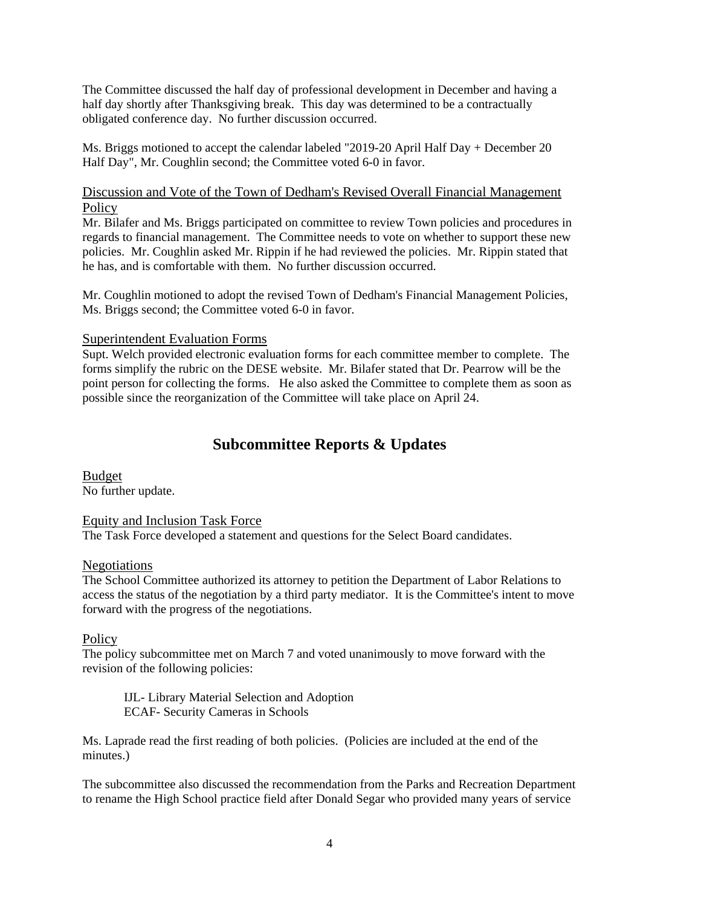The Committee discussed the half day of professional development in December and having a half day shortly after Thanksgiving break. This day was determined to be a contractually obligated conference day. No further discussion occurred.

Ms. Briggs motioned to accept the calendar labeled "2019-20 April Half Day + December 20 Half Day", Mr. Coughlin second; the Committee voted 6-0 in favor.

#### Discussion and Vote of the Town of Dedham's Revised Overall Financial Management **Policy**

Mr. Bilafer and Ms. Briggs participated on committee to review Town policies and procedures in regards to financial management. The Committee needs to vote on whether to support these new policies. Mr. Coughlin asked Mr. Rippin if he had reviewed the policies. Mr. Rippin stated that he has, and is comfortable with them. No further discussion occurred.

Mr. Coughlin motioned to adopt the revised Town of Dedham's Financial Management Policies, Ms. Briggs second; the Committee voted 6-0 in favor.

#### Superintendent Evaluation Forms

Supt. Welch provided electronic evaluation forms for each committee member to complete. The forms simplify the rubric on the DESE website. Mr. Bilafer stated that Dr. Pearrow will be the point person for collecting the forms. He also asked the Committee to complete them as soon as possible since the reorganization of the Committee will take place on April 24.

## **Subcommittee Reports & Updates**

Budget No further update.

Equity and Inclusion Task Force

The Task Force developed a statement and questions for the Select Board candidates.

#### Negotiations

The School Committee authorized its attorney to petition the Department of Labor Relations to access the status of the negotiation by a third party mediator. It is the Committee's intent to move forward with the progress of the negotiations.

#### **Policy**

The policy subcommittee met on March 7 and voted unanimously to move forward with the revision of the following policies:

 IJL- Library Material Selection and Adoption ECAF- Security Cameras in Schools

Ms. Laprade read the first reading of both policies. (Policies are included at the end of the minutes.)

The subcommittee also discussed the recommendation from the Parks and Recreation Department to rename the High School practice field after Donald Segar who provided many years of service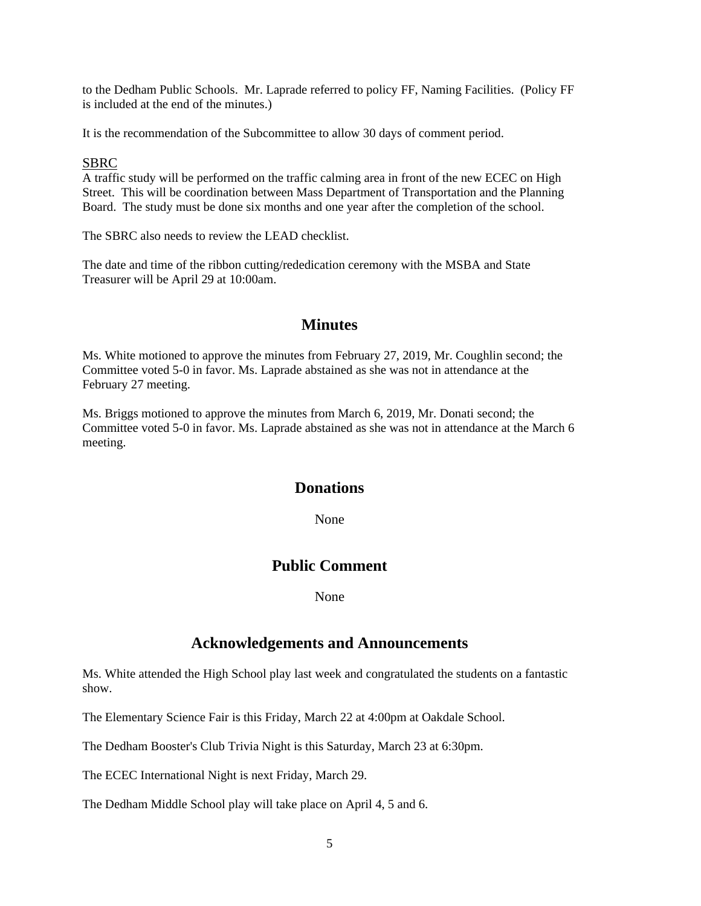to the Dedham Public Schools. Mr. Laprade referred to policy FF, Naming Facilities. (Policy FF is included at the end of the minutes.)

It is the recommendation of the Subcommittee to allow 30 days of comment period.

#### SBRC

A traffic study will be performed on the traffic calming area in front of the new ECEC on High Street. This will be coordination between Mass Department of Transportation and the Planning Board. The study must be done six months and one year after the completion of the school.

The SBRC also needs to review the LEAD checklist.

The date and time of the ribbon cutting/rededication ceremony with the MSBA and State Treasurer will be April 29 at 10:00am.

#### **Minutes**

Ms. White motioned to approve the minutes from February 27, 2019, Mr. Coughlin second; the Committee voted 5-0 in favor. Ms. Laprade abstained as she was not in attendance at the February 27 meeting.

Ms. Briggs motioned to approve the minutes from March 6, 2019, Mr. Donati second; the Committee voted 5-0 in favor. Ms. Laprade abstained as she was not in attendance at the March 6 meeting.

## **Donations**

None

## **Public Comment**

None None

## **Acknowledgements and Announcements**

Ms. White attended the High School play last week and congratulated the students on a fantastic show.

The Elementary Science Fair is this Friday, March 22 at 4:00pm at Oakdale School.

The Dedham Booster's Club Trivia Night is this Saturday, March 23 at 6:30pm.

The ECEC International Night is next Friday, March 29.

The Dedham Middle School play will take place on April 4, 5 and 6.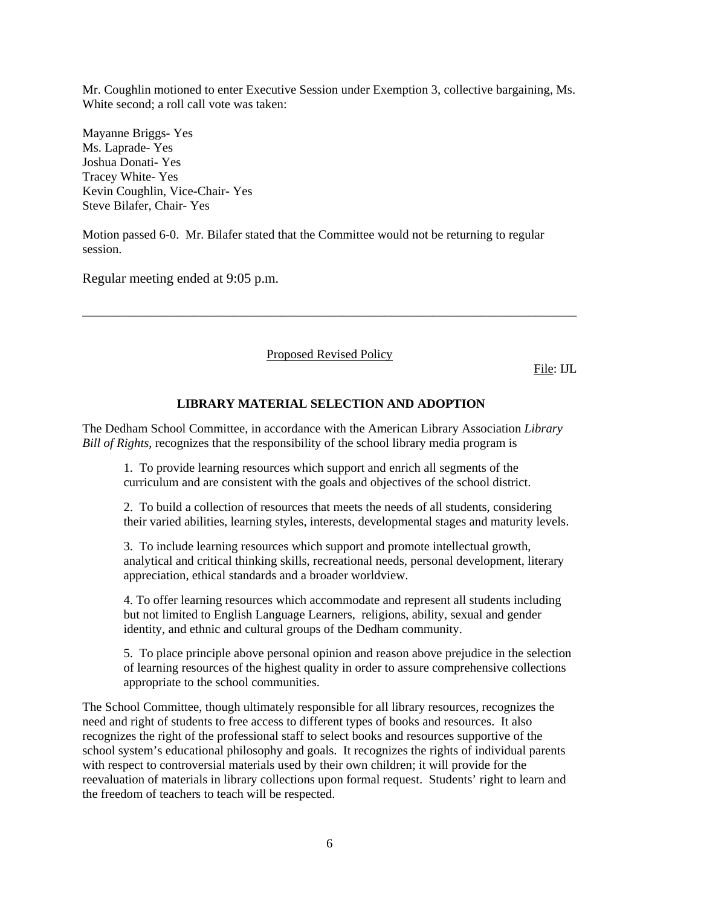Mr. Coughlin motioned to enter Executive Session under Exemption 3, collective bargaining, Ms. White second; a roll call vote was taken:

Mayanne Briggs- Yes Ms. Laprade- Yes Joshua Donati- Yes Tracey White- Yes Kevin Coughlin, Vice-Chair- Yes Steve Bilafer, Chair- Yes

Motion passed 6-0. Mr. Bilafer stated that the Committee would not be returning to regular session.

Regular meeting ended at 9:05 p.m.

#### Proposed Revised Policy

\_\_\_\_\_\_\_\_\_\_\_\_\_\_\_\_\_\_\_\_\_\_\_\_\_\_\_\_\_\_\_\_\_\_\_\_\_\_\_\_\_\_\_\_\_\_\_\_\_\_\_\_\_\_\_\_\_\_\_\_\_\_\_\_\_\_\_\_\_\_\_\_

File: IJL

#### **LIBRARY MATERIAL SELECTION AND ADOPTION**

The Dedham School Committee, in accordance with the American Library Association *Library Bill of Rights*, recognizes that the responsibility of the school library media program is

1. To provide learning resources which support and enrich all segments of the curriculum and are consistent with the goals and objectives of the school district.

2. To build a collection of resources that meets the needs of all students, considering their varied abilities, learning styles, interests, developmental stages and maturity levels.

3. To include learning resources which support and promote intellectual growth, analytical and critical thinking skills, recreational needs, personal development, literary appreciation, ethical standards and a broader worldview.

4. To offer learning resources which accommodate and represent all students including but not limited to English Language Learners, religions, ability, sexual and gender identity, and ethnic and cultural groups of the Dedham community.

5. To place principle above personal opinion and reason above prejudice in the selection of learning resources of the highest quality in order to assure comprehensive collections appropriate to the school communities.

The School Committee, though ultimately responsible for all library resources, recognizes the need and right of students to free access to different types of books and resources. It also recognizes the right of the professional staff to select books and resources supportive of the school system's educational philosophy and goals. It recognizes the rights of individual parents with respect to controversial materials used by their own children; it will provide for the reevaluation of materials in library collections upon formal request. Students' right to learn and the freedom of teachers to teach will be respected.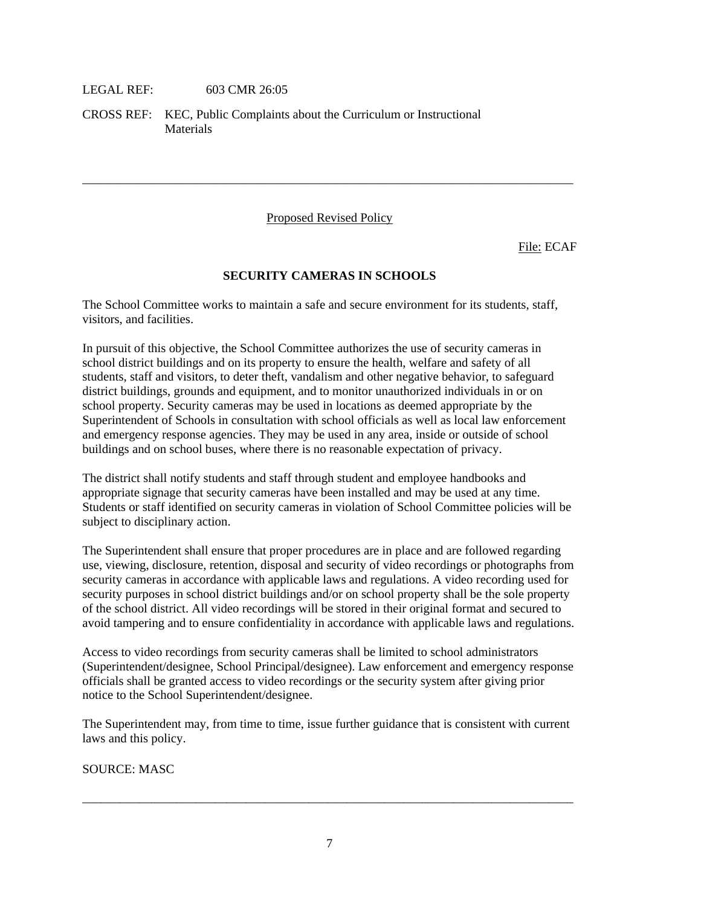#### LEGAL REF: 603 CMR 26:05

CROSS REF: KEC, Public Complaints about the Curriculum or Instructional **Materials** 

#### Proposed Revised Policy

\_\_\_\_\_\_\_\_\_\_\_\_\_\_\_\_\_\_\_\_\_\_\_\_\_\_\_\_\_\_\_\_\_\_\_\_\_\_\_\_\_\_\_\_\_\_\_\_\_\_\_\_\_\_\_\_\_\_\_\_\_\_\_\_\_\_\_\_\_\_\_\_\_\_\_\_\_\_

File: ECAF

#### **SECURITY CAMERAS IN SCHOOLS**

The School Committee works to maintain a safe and secure environment for its students, staff, visitors, and facilities.

In pursuit of this objective, the School Committee authorizes the use of security cameras in school district buildings and on its property to ensure the health, welfare and safety of all students, staff and visitors, to deter theft, vandalism and other negative behavior, to safeguard district buildings, grounds and equipment, and to monitor unauthorized individuals in or on school property. Security cameras may be used in locations as deemed appropriate by the Superintendent of Schools in consultation with school officials as well as local law enforcement and emergency response agencies. They may be used in any area, inside or outside of school buildings and on school buses, where there is no reasonable expectation of privacy.

The district shall notify students and staff through student and employee handbooks and appropriate signage that security cameras have been installed and may be used at any time. Students or staff identified on security cameras in violation of School Committee policies will be subject to disciplinary action.

The Superintendent shall ensure that proper procedures are in place and are followed regarding use, viewing, disclosure, retention, disposal and security of video recordings or photographs from security cameras in accordance with applicable laws and regulations. A video recording used for security purposes in school district buildings and/or on school property shall be the sole property of the school district. All video recordings will be stored in their original format and secured to avoid tampering and to ensure confidentiality in accordance with applicable laws and regulations.

Access to video recordings from security cameras shall be limited to school administrators (Superintendent/designee, School Principal/designee). Law enforcement and emergency response officials shall be granted access to video recordings or the security system after giving prior notice to the School Superintendent/designee.

The Superintendent may, from time to time, issue further guidance that is consistent with current laws and this policy.

SOURCE: MASC

\_\_\_\_\_\_\_\_\_\_\_\_\_\_\_\_\_\_\_\_\_\_\_\_\_\_\_\_\_\_\_\_\_\_\_\_\_\_\_\_\_\_\_\_\_\_\_\_\_\_\_\_\_\_\_\_\_\_\_\_\_\_\_\_\_\_\_\_\_\_\_\_\_\_\_\_\_\_